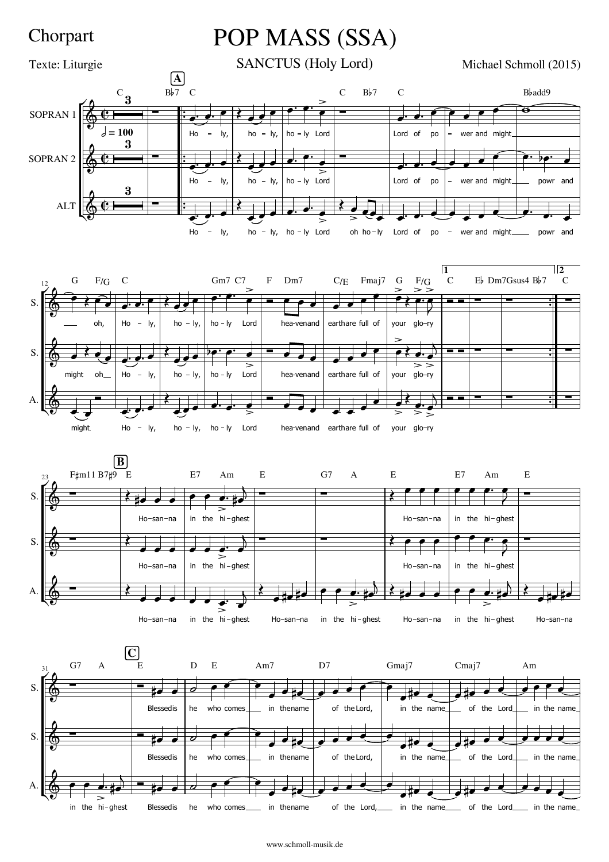## Chorpart

## POP MASS (SSA)